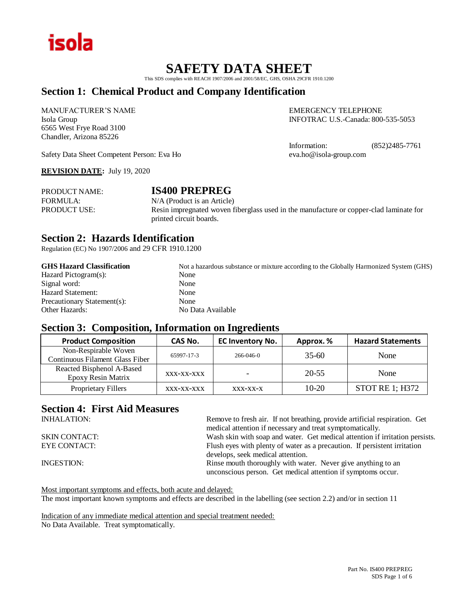

## **SAFETY DATA SHEET**

This SDS complies with REACH 1907/2006 and 2001/58/EC, GHS, OSHA 29CFR 1910.1200

## **Section 1: Chemical Product and Company Identification**

MANUFACTURER'S NAME EMERGENCY TELEPHONE 6565 West Frye Road 3100 Chandler, Arizona 85226

Isola Group INFOTRAC U.S.-Canada: 800-535-5053

Information: (852)2485-7761<br>eva.ho@isola-group.com

Safety Data Sheet Competent Person: Eva Ho

**REVISION DATE:** July 19, 2020

| <b>PRODUCT NAME:</b> | <b>IS400 PREPREG</b>                                                                   |
|----------------------|----------------------------------------------------------------------------------------|
| FORMULA:             | $N/A$ (Product is an Article)                                                          |
| <b>PRODUCT USE:</b>  | Resin impregnated woven fiberglass used in the manufacture or copper-clad laminate for |
|                      | printed circuit boards.                                                                |

### **Section 2: Hazards Identification**

Regulation (EC) No 1907/2006 and 29 CFR 1910.1200

| <b>GHS Hazard Classification</b> | Not a hazardous substance or mixture according to the Globally Harmonized System (GHS) |
|----------------------------------|----------------------------------------------------------------------------------------|
| Hazard Pictogram(s):             | None                                                                                   |
| Signal word:                     | None                                                                                   |
| Hazard Statement:                | None                                                                                   |
| Precautionary Statement(s):      | None                                                                                   |
| <b>Other Hazards:</b>            | No Data Available                                                                      |
|                                  |                                                                                        |

### **Section 3: Composition, Information on Ingredients**

| <b>Product Composition</b>      | CAS No.    | <b>EC Inventory No.</b>  | Approx.% | <b>Hazard Statements</b> |
|---------------------------------|------------|--------------------------|----------|--------------------------|
| Non-Respirable Woven            | 65997-17-3 | $266 - 046 - 0$          | 35-60    | None                     |
| Continuous Filament Glass Fiber |            |                          |          |                          |
| Reacted Bisphenol A-Based       |            | $\overline{\phantom{a}}$ | 20-55    | None                     |
| Epoxy Resin Matrix              | XXX-XX-XXX |                          |          |                          |
| Proprietary Fillers             | XXX-XX-XXX | XXX-XX-X                 | $10-20$  | STOT RE 1; H372          |

## **Section 4: First Aid Measures**

| Remove to fresh air. If not breathing, provide artificial respiration. Get   |
|------------------------------------------------------------------------------|
| medical attention if necessary and treat symptomatically.                    |
| Wash skin with soap and water. Get medical attention if irritation persists. |
| Flush eyes with plenty of water as a precaution. If persistent irritation    |
| develops, seek medical attention.                                            |
| Rinse mouth thoroughly with water. Never give anything to an                 |
| unconscious person. Get medical attention if symptoms occur.                 |
|                                                                              |

Most important symptoms and effects, both acute and delayed: The most important known symptoms and effects are described in the labelling (see section 2.2) and/or in section 11

Indication of any immediate medical attention and special treatment needed: No Data Available. Treat symptomatically.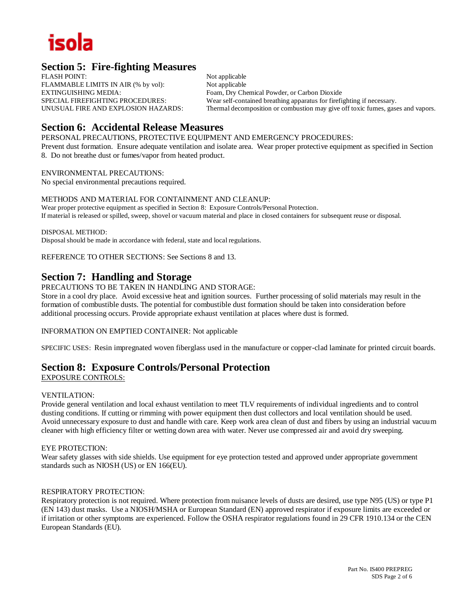## **Section 5: Fire-fighting Measures**

FLASH POINT: Not applicable FLAMMABLE LIMITS IN AIR (% by vol): Not applicable EXTINGUISHING MEDIA: Foam, Dry Chemical Powder, or Carbon Dioxide

SPECIAL FIREFIGHTING PROCEDURES: Wear self-contained breathing apparatus for firefighting if necessary.<br>UNUSUAL FIRE AND EXPLOSION HAZARDS: Thermal decomposition or combustion may give off toxic fumes, gase Thermal decomposition or combustion may give off toxic fumes, gases and vapors.

## **Section 6: Accidental Release Measures**

PERSONAL PRECAUTIONS, PROTECTIVE EQUIPMENT AND EMERGENCY PROCEDURES: Prevent dust formation. Ensure adequate ventilation and isolate area. Wear proper protective equipment as specified in Section

8. Do not breathe dust or fumes/vapor from heated product.

#### ENVIRONMENTAL PRECAUTIONS:

No special environmental precautions required.

#### METHODS AND MATERIAL FOR CONTAINMENT AND CLEANUP:

Wear proper protective equipment as specified in Section 8: Exposure Controls/Personal Protection. If material is released or spilled, sweep, shovel or vacuum material and place in closed containers for subsequent reuse or disposal.

DISPOSAL METHOD: Disposal should be made in accordance with federal, state and local regulations.

REFERENCE TO OTHER SECTIONS: See Sections 8 and 13.

## **Section 7: Handling and Storage**

PRECAUTIONS TO BE TAKEN IN HANDLING AND STORAGE:

Store in a cool dry place. Avoid excessive heat and ignition sources. Further processing of solid materials may result in the formation of combustible dusts. The potential for combustible dust formation should be taken into consideration before additional processing occurs. Provide appropriate exhaust ventilation at places where dust is formed.

INFORMATION ON EMPTIED CONTAINER: Not applicable

SPECIFIC USES: Resin impregnated woven fiberglass used in the manufacture or copper-clad laminate for printed circuit boards.

## **Section 8: Exposure Controls/Personal Protection**

EXPOSURE CONTROLS:

#### VENTILATION:

Provide general ventilation and local exhaust ventilation to meet TLV requirements of individual ingredients and to control dusting conditions. If cutting or rimming with power equipment then dust collectors and local ventilation should be used. Avoid unnecessary exposure to dust and handle with care. Keep work area clean of dust and fibers by using an industrial vacuum cleaner with high efficiency filter or wetting down area with water. Never use compressed air and avoid dry sweeping.

#### EYE PROTECTION:

Wear safety glasses with side shields. Use equipment for eye protection tested and approved under appropriate government standards such as NIOSH (US) or EN 166(EU).

#### RESPIRATORY PROTECTION:

Respiratory protection is not required. Where protection from nuisance levels of dusts are desired, use type N95 (US) or type P1 (EN 143) dust masks. Use a NIOSH/MSHA or European Standard (EN) approved respirator if exposure limits are exceeded or if irritation or other symptoms are experienced. Follow the OSHA respirator regulations found in 29 CFR 1910.134 or the CEN European Standards (EU).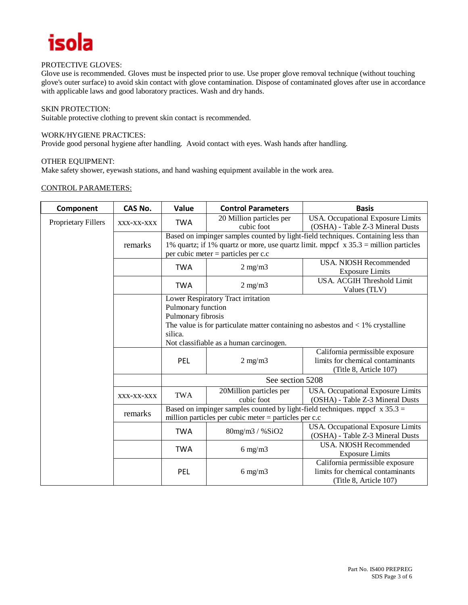

#### PROTECTIVE GLOVES:

Glove use is recommended. Gloves must be inspected prior to use. Use proper glove removal technique (without touching glove's outer surface) to avoid skin contact with glove contamination. Dispose of contaminated gloves after use in accordance with applicable laws and good laboratory practices. Wash and dry hands.

#### SKIN PROTECTION:

Suitable protective clothing to prevent skin contact is recommended.

#### WORK/HYGIENE PRACTICES:

Provide good personal hygiene after handling. Avoid contact with eyes. Wash hands after handling.

#### OTHER EQUIPMENT:

Make safety shower, eyewash stations, and hand washing equipment available in the work area.

#### CONTROL PARAMETERS:

| Component           | CAS No.    | Value                                                                                                                                                                                                                   | <b>Control Parameters</b>                                                                                      | <b>Basis</b>                                                                                  |  |
|---------------------|------------|-------------------------------------------------------------------------------------------------------------------------------------------------------------------------------------------------------------------------|----------------------------------------------------------------------------------------------------------------|-----------------------------------------------------------------------------------------------|--|
| Proprietary Fillers | XXX-XX-XXX | <b>TWA</b>                                                                                                                                                                                                              | 20 Million particles per<br>cubic foot                                                                         | USA. Occupational Exposure Limits<br>(OSHA) - Table Z-3 Mineral Dusts                         |  |
|                     | remarks    | Based on impinger samples counted by light-field techniques. Containing less than<br>1% quartz; if 1% quartz or more, use quartz limit. mppcf $\bar{x}$ 35.3 = million particles<br>per cubic meter = particles per c.c |                                                                                                                |                                                                                               |  |
|                     |            | <b>TWA</b>                                                                                                                                                                                                              | $2$ mg/m $3$                                                                                                   | <b>USA. NIOSH Recommended</b><br><b>Exposure Limits</b>                                       |  |
|                     |            | <b>TWA</b>                                                                                                                                                                                                              | $2$ mg/m $3$                                                                                                   | USA. ACGIH Threshold Limit<br>Values (TLV)                                                    |  |
|                     |            | Lower Respiratory Tract irritation<br>Pulmonary function                                                                                                                                                                |                                                                                                                |                                                                                               |  |
|                     |            |                                                                                                                                                                                                                         |                                                                                                                |                                                                                               |  |
|                     |            |                                                                                                                                                                                                                         | Pulmonary fibrosis<br>The value is for particulate matter containing no asbestos and $\langle 1\%$ crystalline |                                                                                               |  |
|                     |            | silica.                                                                                                                                                                                                                 |                                                                                                                |                                                                                               |  |
|                     |            | Not classifiable as a human carcinogen.                                                                                                                                                                                 |                                                                                                                |                                                                                               |  |
|                     |            |                                                                                                                                                                                                                         |                                                                                                                | California permissible exposure                                                               |  |
|                     |            | PEL                                                                                                                                                                                                                     | $2 \text{ mg/m}$                                                                                               | limits for chemical contaminants                                                              |  |
|                     |            |                                                                                                                                                                                                                         |                                                                                                                | (Title 8, Article 107)                                                                        |  |
|                     |            | See section 5208                                                                                                                                                                                                        |                                                                                                                |                                                                                               |  |
|                     | XXX-XX-XXX | <b>TWA</b>                                                                                                                                                                                                              | 20Million particles per<br>cubic foot                                                                          | USA. Occupational Exposure Limits<br>(OSHA) - Table Z-3 Mineral Dusts                         |  |
|                     | remarks    | Based on impinger samples counted by light-field techniques. mppcf $x 35.3 =$<br>million particles per cubic meter $=$ particles per c.c                                                                                |                                                                                                                |                                                                                               |  |
|                     |            | <b>TWA</b>                                                                                                                                                                                                              | 80mg/m3 / %SiO2                                                                                                | USA. Occupational Exposure Limits<br>(OSHA) - Table Z-3 Mineral Dusts                         |  |
|                     |            | <b>TWA</b>                                                                                                                                                                                                              | $6$ mg/m $3$                                                                                                   | <b>USA. NIOSH Recommended</b><br><b>Exposure Limits</b>                                       |  |
|                     |            | PEL                                                                                                                                                                                                                     | $6 \text{ mg/m}$                                                                                               | California permissible exposure<br>limits for chemical contaminants<br>(Title 8, Article 107) |  |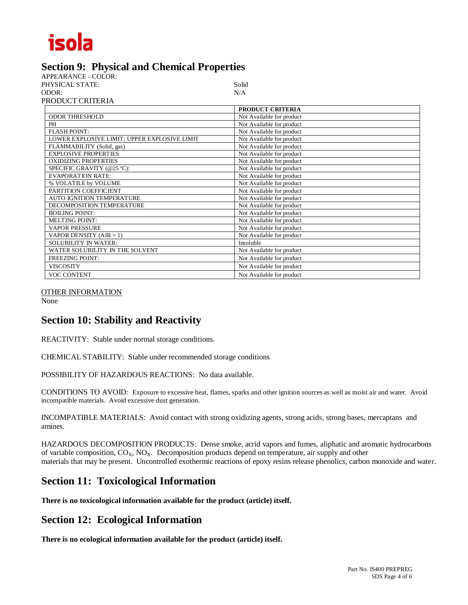## **Section 9: Physical and Chemical Properties**

APPEARANCE - COLOR: PHYSICAL STATE: Solid ODOR: N/A PRODUCT CRITERIA

|                                              | PRODUCT CRITERIA          |
|----------------------------------------------|---------------------------|
| <b>ODOR THRESHOLD</b>                        | Not Available for product |
| <b>PH</b>                                    | Not Available for product |
| <b>FLASH POINT:</b>                          | Not Available for product |
| LOWER EXPLOSIVE LIMIT; UPPER EXPLOSIVE LIMIT | Not Available for product |
| FLAMMABILITY (Solid, gas)                    | Not Available for product |
| <b>EXPLOSIVE PROPERTIES</b>                  | Not Available for product |
| <b>OXIDIZING PROPERTIES</b>                  | Not Available for product |
| SPECIFIC GRAVITY (@25 °C):                   | Not Available for product |
| <b>EVAPORATION RATE:</b>                     | Not Available for product |
| % VOLATILE by VOLUME                         | Not Available for product |
| PARTITION COEFFICIENT                        | Not Available for product |
| AUTO IGNITION TEMPERATURE                    | Not Available for product |
| DECOMPOSITION TEMPERATURE                    | Not Available for product |
| <b>BOILING POINT:</b>                        | Not Available for product |
| <b>MELTING POINT:</b>                        | Not Available for product |
| <b>VAPOR PRESSURE</b>                        | Not Available for product |
| VAPOR DENSITY $(AIR = 1)$                    | Not Available for product |
| <b>SOLUBILITY IN WATER:</b>                  | Insoluble                 |
| WATER SOLUBILITY IN THE SOLVENT              | Not Available for product |
| <b>FREEZING POINT:</b>                       | Not Available for product |
| <b>VISCOSITY</b>                             | Not Available for product |
| <b>VOC CONTENT</b>                           | Not Available for product |

#### OTHER INFORMATION

None

## **Section 10: Stability and Reactivity**

REACTIVITY: Stable under normal storage conditions.

CHEMICAL STABILITY: Stable under recommended storage conditions

POSSIBILITY OF HAZARDOUS REACTIONS: No data available.

CONDITIONS TO AVOID: Exposure to excessive heat, flames, sparks and other ignition sources as well as moist air and water. Avoid incompatible materials. Avoid excessive dust generation.

INCOMPATIBLE MATERIALS: Avoid contact with strong oxidizing agents, strong acids, strong bases, mercaptans and amines.

HAZARDOUS DECOMPOSITION PRODUCTS: Dense smoke, acrid vapors and fumes, aliphatic and aromatic hydrocarbons of variable composition,  $CO<sub>X</sub>$ ,  $NO<sub>X</sub>$ . Decomposition products depend on temperature, air supply and other materials that may be present. Uncontrolled exothermic reactions of epoxy resins release phenolics, carbon monoxide and water.

## **Section 11: Toxicological Information**

**There is no toxicological information available for the product (article) itself.**

## **Section 12: Ecological Information**

**There is no ecological information available for the product (article) itself.**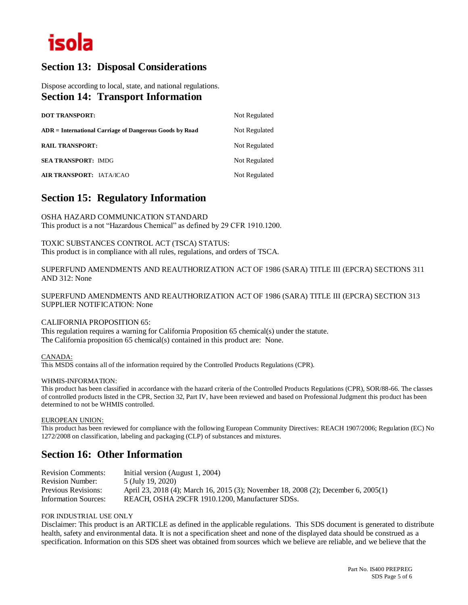## **Section 13: Disposal Considerations**

Dispose according to local, state, and national regulations. **Section 14: Transport Information** 

| <b>DOT TRANSPORT:</b>                                   | Not Regulated |
|---------------------------------------------------------|---------------|
| ADR = International Carriage of Dangerous Goods by Road | Not Regulated |
| <b>RAIL TRANSPORT:</b>                                  | Not Regulated |
| <b>SEA TRANSPORT: IMDG</b>                              | Not Regulated |
| <b>AIR TRANSPORT: IATA/ICAO</b>                         | Not Regulated |

## **Section 15: Regulatory Information**

OSHA HAZARD COMMUNICATION STANDARD This product is a not "Hazardous Chemical" as defined by 29 CFR 1910.1200.

TOXIC SUBSTANCES CONTROL ACT (TSCA) STATUS: This product is in compliance with all rules, regulations, and orders of TSCA.

SUPERFUND AMENDMENTS AND REAUTHORIZATION ACT OF 1986 (SARA) TITLE III (EPCRA) SECTIONS 311 AND 312: None

SUPERFUND AMENDMENTS AND REAUTHORIZATION ACT OF 1986 (SARA) TITLE III (EPCRA) SECTION 313 SUPPLIER NOTIFICATION: None

#### CALIFORNIA PROPOSITION 65:

This regulation requires a warning for California Proposition 65 chemical(s) under the statute. The California proposition 65 chemical(s) contained in this product are: None.

#### CANADA:

This MSDS contains all of the information required by the Controlled Products Regulations (CPR).

#### WHMIS-INFORMATION:

This product has been classified in accordance with the hazard criteria of the Controlled Products Regulations (CPR), SOR/88-66. The classes of controlled products listed in the CPR, Section 32, Part IV, have been reviewed and based on Professional Judgment this product has been determined to not be WHMIS controlled.

#### EUROPEAN UNION:

This product has been reviewed for compliance with the following European Community Directives: REACH 1907/2006; Regulation (EC) No 1272/2008 on classification, labeling and packaging (CLP) of substances and mixtures.

## **Section 16: Other Information**

| <b>Revision Comments:</b>   | Initial version (August 1, 2004)                                                    |
|-----------------------------|-------------------------------------------------------------------------------------|
| <b>Revision Number:</b>     | 5 (July 19, 2020)                                                                   |
| <b>Previous Revisions:</b>  | April 23, 2018 (4); March 16, 2015 (3); November 18, 2008 (2); December 6, 2005 (1) |
| <b>Information Sources:</b> | REACH, OSHA 29CFR 1910.1200, Manufacturer SDSs.                                     |

#### FOR INDUSTRIAL USE ONLY

Disclaimer: This product is an ARTICLE as defined in the applicable regulations. This SDS document is generated to distribute health, safety and environmental data. It is not a specification sheet and none of the displayed data should be construed as a specification. Information on this SDS sheet was obtained from sources which we believe are reliable, and we believe that the